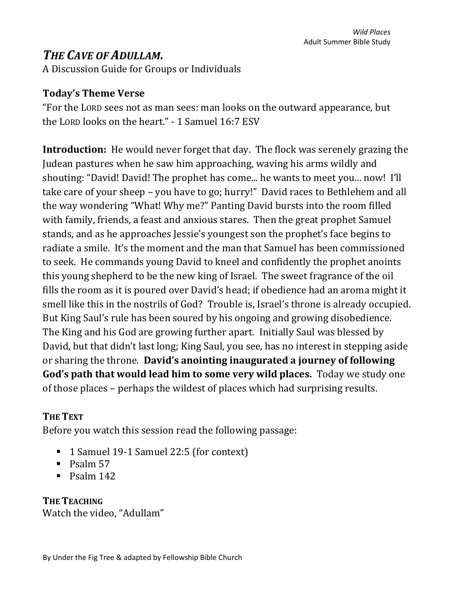# *THE CAVE OF ADULLAM.*

A Discussion Guide for Groups or Individuals

### **Today's Theme Verse**

"For the LORD sees not as man sees: man looks on the outward appearance, but the LORD looks on the heart." - 1 Samuel 16:7 ESV

**Introduction:** He would never forget that day. The flock was serenely grazing the Judean pastures when he saw him approaching, waving his arms wildly and shouting: "David! David! The prophet has come... he wants to meet you... now! I'll take care of your sheep – you have to go; hurry!" David races to Bethlehem and all the way wondering "What! Why me?" Panting David bursts into the room filled with family, friends, a feast and anxious stares. Then the great prophet Samuel stands, and as he approaches Jessie's youngest son the prophet's face begins to radiate a smile. It's the moment and the man that Samuel has been commissioned to seek. He commands young David to kneel and confidently the prophet anoints this young shepherd to be the new king of Israel. The sweet fragrance of the oil fills the room as it is poured over David's head; if obedience had an aroma might it smell like this in the nostrils of God? Trouble is, Israel's throne is already occupied. But King Saul's rule has been soured by his ongoing and growing disobedience. The King and his God are growing further apart. Initially Saul was blessed by David, but that didn't last long; King Saul, you see, has no interest in stepping aside or sharing the throne. **David's anointing inaugurated a journey of following God's path that would lead him to some very wild places.** Today we study one of those places – perhaps the wildest of places which had surprising results.

### **THE TEXT**

Before you watch this session read the following passage:

- 1 Samuel 19-1 Samuel 22:5 (for context)
- Psalm 57
- $\blacksquare$  Psalm 142

# **THE TEACHING**

Watch the video, "Adullam"